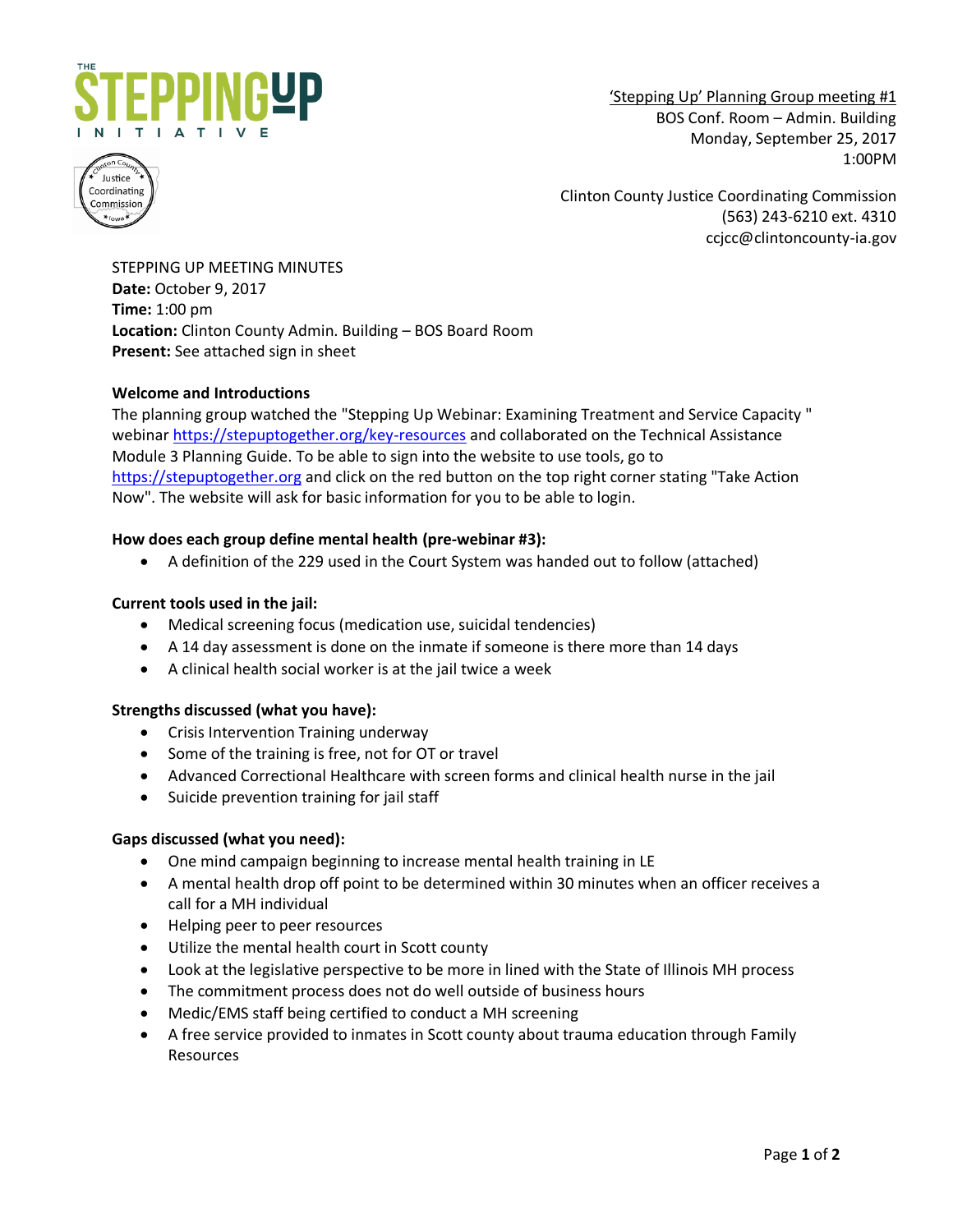

'Stepping Up' Planning Group meeting #1 BOS Conf. Room – Admin. Building Monday, September 25, 2017 1:00PM



Clinton County Justice Coordinating Commission (563) 243-6210 ext. 4310 ccjcc@clintoncounty-ia.gov

STEPPING UP MEETING MINUTES **Date:** October 9, 2017 **Time:** 1:00 pm **Location:** Clinton County Admin. Building – BOS Board Room **Present:** See attached sign in sheet

# **Welcome and Introductions**

The planning group watched the "Stepping Up Webinar: Examining Treatment and Service Capacity " webinar<https://stepuptogether.org/key-resources> and collaborated on the Technical Assistance Module 3 Planning Guide. To be able to sign into the website to use tools, go to [https://stepuptogether.org](https://stepuptogether.org/) and click on the red button on the top right corner stating "Take Action Now". The website will ask for basic information for you to be able to login.

# **How does each group define mental health (pre-webinar #3):**

A definition of the 229 used in the Court System was handed out to follow (attached)

# **Current tools used in the jail:**

- Medical screening focus (medication use, suicidal tendencies)
- A 14 day assessment is done on the inmate if someone is there more than 14 days
- A clinical health social worker is at the jail twice a week

## **Strengths discussed (what you have):**

- Crisis Intervention Training underway
- Some of the training is free, not for OT or travel
- Advanced Correctional Healthcare with screen forms and clinical health nurse in the jail
- Suicide prevention training for jail staff

## **Gaps discussed (what you need):**

- One mind campaign beginning to increase mental health training in LE
- A mental health drop off point to be determined within 30 minutes when an officer receives a call for a MH individual
- Helping peer to peer resources
- Utilize the mental health court in Scott county
- Look at the legislative perspective to be more in lined with the State of Illinois MH process
- The commitment process does not do well outside of business hours
- Medic/EMS staff being certified to conduct a MH screening
- A free service provided to inmates in Scott county about trauma education through Family Resources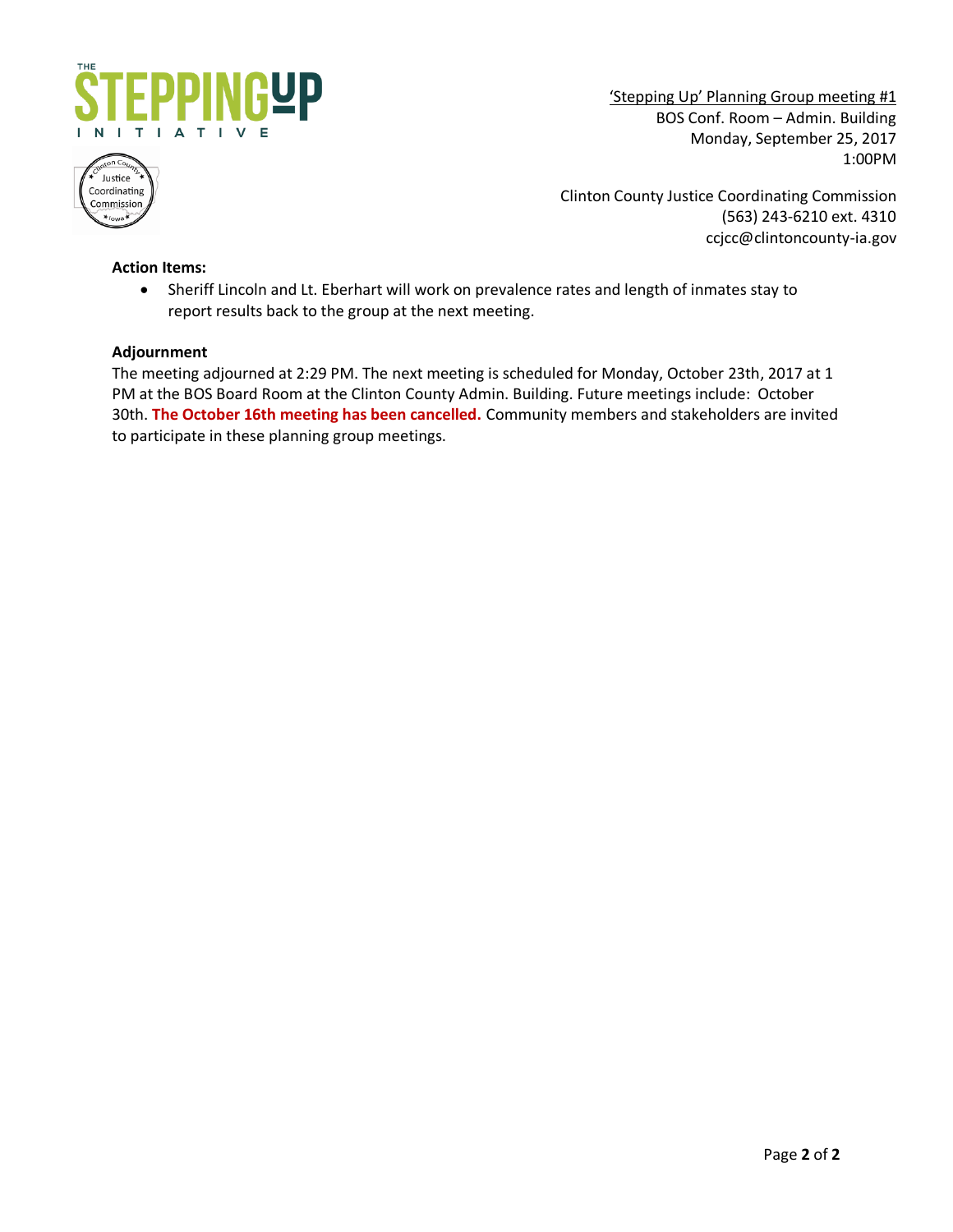

'Stepping Up' Planning Group meeting #1 BOS Conf. Room – Admin. Building Monday, September 25, 2017 1:00PM



Clinton County Justice Coordinating Commission (563) 243-6210 ext. 4310 ccjcc@clintoncounty-ia.gov

## **Action Items:**

 Sheriff Lincoln and Lt. Eberhart will work on prevalence rates and length of inmates stay to report results back to the group at the next meeting.

#### **Adjournment**

The meeting adjourned at 2:29 PM. The next meeting is scheduled for Monday, October 23th, 2017 at 1 PM at the BOS Board Room at the Clinton County Admin. Building. Future meetings include: October 30th. **The October 16th meeting has been cancelled.** Community members and stakeholders are invited to participate in these planning group meetings.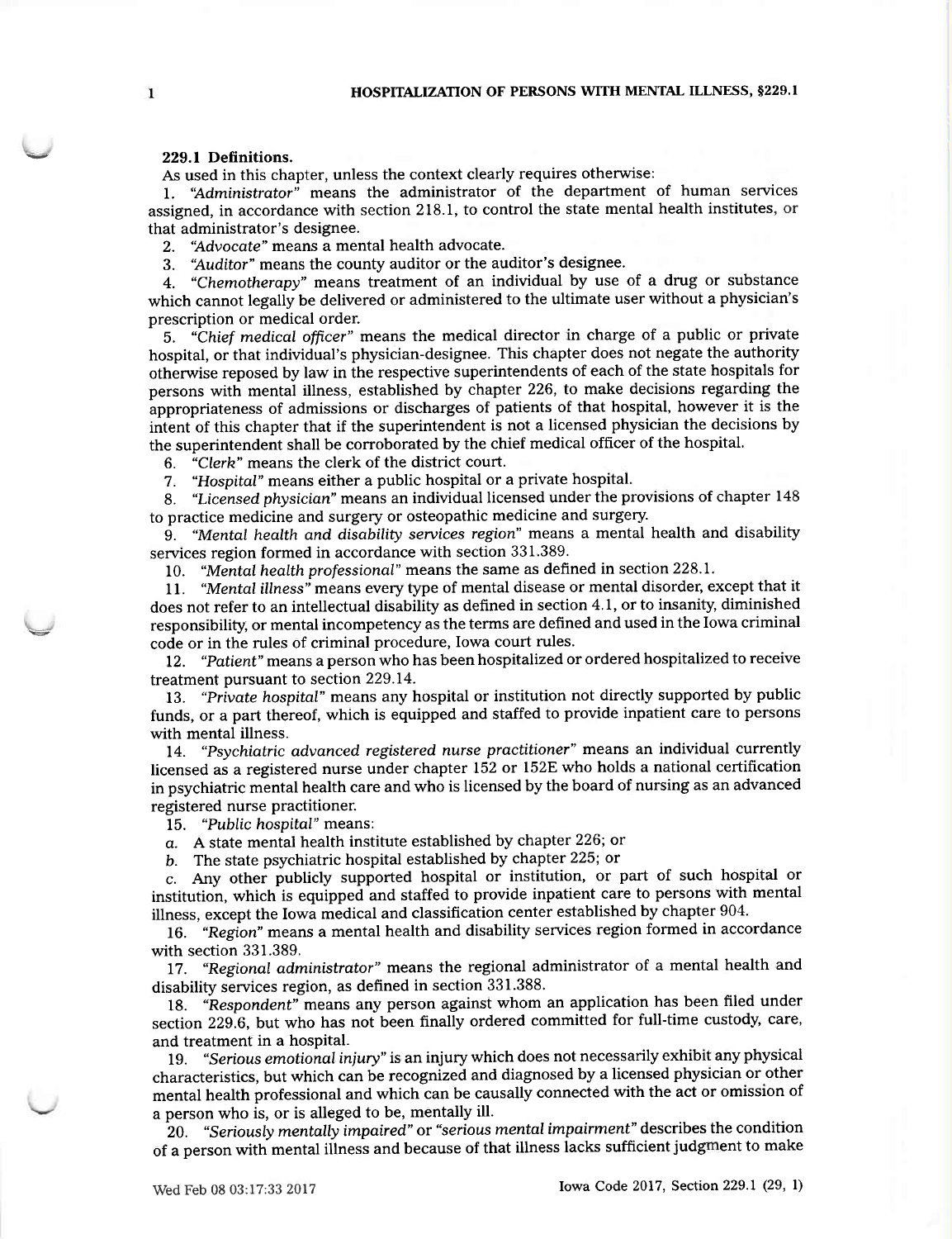#### 229.1 Definitions.

As used in this chapter, unless the context clearly requires otherwise:

1. "Administrator" means the administrator of the department of human services assigned, in accordance with section 218.1, to control the state mental health institutes, or that administrator's designee.

"Advocate" means a mental health advocate.  $2.$ 

"Auditor" means the county auditor or the auditor's designee. 3.

"Chemotherapy" means treatment of an individual by use of a drug or substance  $4.$ which cannot legally be delivered or administered to the ultimate user without a physician's prescription or medical order.

5. "Chief medical officer" means the medical director in charge of a public or private hospital, or that individual's physician-designee. This chapter does not negate the authority otherwise reposed by law in the respective superintendents of each of the state hospitals for persons with mental illness, established by chapter 226, to make decisions regarding the appropriateness of admissions or discharges of patients of that hospital, however it is the intent of this chapter that if the superintendent is not a licensed physician the decisions by the superintendent shall be corroborated by the chief medical officer of the hospital.

"Clerk" means the clerk of the district court. 6.

"Hospital" means either a public hospital or a private hospital.  $7<sub>z</sub>$ 

"Licensed physician" means an individual licensed under the provisions of chapter 148  $\mathbf{R}$ to practice medicine and surgery or osteopathic medicine and surgery.

9. "Mental health and disability services region" means a mental health and disability services region formed in accordance with section 331.389.

10. "Mental health professional" means the same as defined in section 228.1.

11. "Mental illness" means every type of mental disease or mental disorder, except that it does not refer to an intellectual disability as defined in section 4.1, or to insanity, diminished responsibility, or mental incompetency as the terms are defined and used in the Iowa criminal code or in the rules of criminal procedure, Iowa court rules.

12. "Patient" means a person who has been hospitalized or ordered hospitalized to receive treatment pursuant to section 229.14.

13. "Private hospital" means any hospital or institution not directly supported by public funds, or a part thereof, which is equipped and staffed to provide inpatient care to persons with mental illness.

14. "Psychiatric advanced registered nurse practitioner" means an individual currently licensed as a registered nurse under chapter 152 or 152E who holds a national certification in psychiatric mental health care and who is licensed by the board of nursing as an advanced registered nurse practitioner.

15. "Public hospital" means:

 $a.$  A state mental health institute established by chapter 226; or

b. The state psychiatric hospital established by chapter 225; or

c. Any other publicly supported hospital or institution, or part of such hospital or institution, which is equipped and staffed to provide inpatient care to persons with mental illness, except the Iowa medical and classification center established by chapter 904.

16. "Region" means a mental health and disability services region formed in accordance with section 331.389.

17. "Regional administrator" means the regional administrator of a mental health and disability services region, as defined in section 331.388.

18. "Respondent" means any person against whom an application has been filed under section 229.6, but who has not been finally ordered committed for full-time custody, care, and treatment in a hospital.

"Serious emotional injury" is an injury which does not necessarily exhibit any physical 19. characteristics, but which can be recognized and diagnosed by a licensed physician or other mental health professional and which can be causally connected with the act or omission of a person who is, or is alleged to be, mentally ill.

20. "Seriously mentally impaired" or "serious mental impairment" describes the condition of a person with mental illness and because of that illness lacks sufficient judgment to make